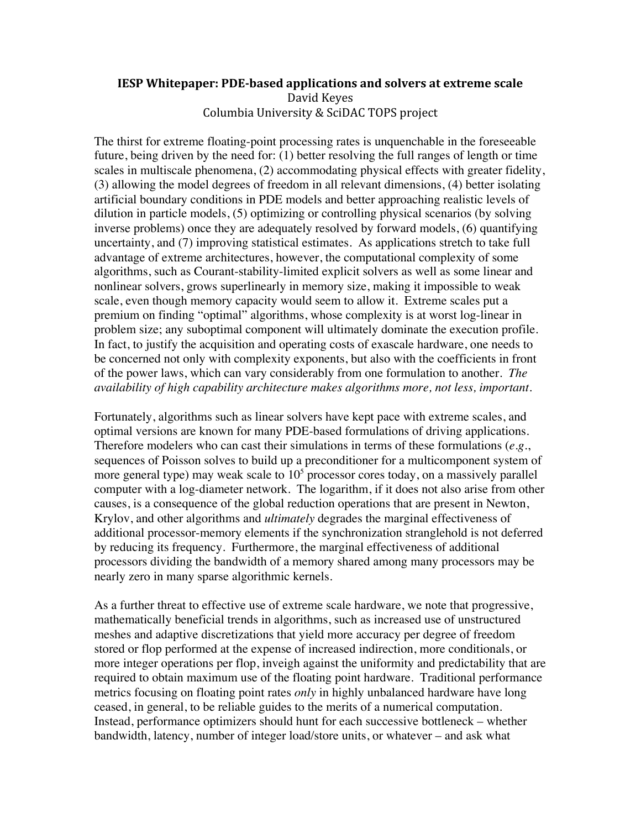## **IESP Whitepaper: PDE-based applications and solvers at extreme scale** David
Keyes Columbia
University
&
SciDAC
TOPS
project

The thirst for extreme floating-point processing rates is unquenchable in the foreseeable future, being driven by the need for: (1) better resolving the full ranges of length or time scales in multiscale phenomena, (2) accommodating physical effects with greater fidelity, (3) allowing the model degrees of freedom in all relevant dimensions, (4) better isolating artificial boundary conditions in PDE models and better approaching realistic levels of dilution in particle models, (5) optimizing or controlling physical scenarios (by solving inverse problems) once they are adequately resolved by forward models, (6) quantifying uncertainty, and (7) improving statistical estimates. As applications stretch to take full advantage of extreme architectures, however, the computational complexity of some algorithms, such as Courant-stability-limited explicit solvers as well as some linear and nonlinear solvers, grows superlinearly in memory size, making it impossible to weak scale, even though memory capacity would seem to allow it. Extreme scales put a premium on finding "optimal" algorithms, whose complexity is at worst log-linear in problem size; any suboptimal component will ultimately dominate the execution profile. In fact, to justify the acquisition and operating costs of exascale hardware, one needs to be concerned not only with complexity exponents, but also with the coefficients in front of the power laws, which can vary considerably from one formulation to another. *The availability of high capability architecture makes algorithms more, not less, important.*

Fortunately, algorithms such as linear solvers have kept pace with extreme scales, and optimal versions are known for many PDE-based formulations of driving applications. Therefore modelers who can cast their simulations in terms of these formulations (*e.g.*, sequences of Poisson solves to build up a preconditioner for a multicomponent system of more general type) may weak scale to  $10<sup>5</sup>$  processor cores today, on a massively parallel computer with a log-diameter network. The logarithm, if it does not also arise from other causes, is a consequence of the global reduction operations that are present in Newton, Krylov, and other algorithms and *ultimately* degrades the marginal effectiveness of additional processor-memory elements if the synchronization stranglehold is not deferred by reducing its frequency. Furthermore, the marginal effectiveness of additional processors dividing the bandwidth of a memory shared among many processors may be nearly zero in many sparse algorithmic kernels.

As a further threat to effective use of extreme scale hardware, we note that progressive, mathematically beneficial trends in algorithms, such as increased use of unstructured meshes and adaptive discretizations that yield more accuracy per degree of freedom stored or flop performed at the expense of increased indirection, more conditionals, or more integer operations per flop, inveigh against the uniformity and predictability that are required to obtain maximum use of the floating point hardware. Traditional performance metrics focusing on floating point rates *only* in highly unbalanced hardware have long ceased, in general, to be reliable guides to the merits of a numerical computation. Instead, performance optimizers should hunt for each successive bottleneck – whether bandwidth, latency, number of integer load/store units, or whatever – and ask what